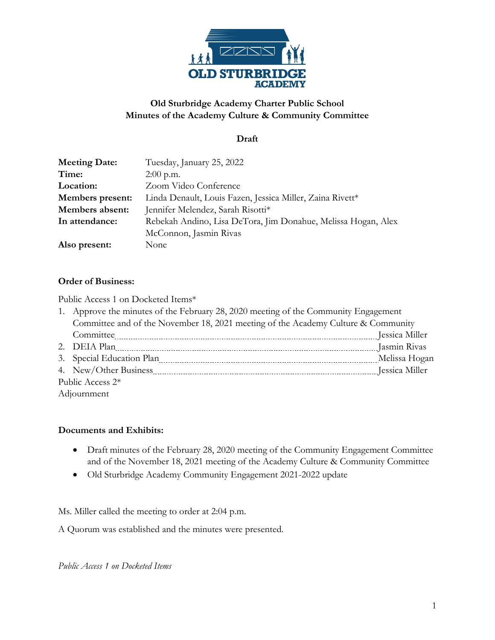

## **Old Sturbridge Academy Charter Public School Minutes of the Academy Culture & Community Committee**

#### **Draft**

| <b>Meeting Date:</b> | Tuesday, January 25, 2022                                     |
|----------------------|---------------------------------------------------------------|
| Time:                | $2:00$ p.m.                                                   |
| Location:            | Zoom Video Conference                                         |
| Members present:     | Linda Denault, Louis Fazen, Jessica Miller, Zaina Rivett*     |
| Members absent:      | Jennifer Melendez, Sarah Risotti*                             |
| In attendance:       | Rebekah Andino, Lisa DeTora, Jim Donahue, Melissa Hogan, Alex |
|                      | McConnon, Jasmin Rivas                                        |
| Also present:        | None                                                          |

#### **Order of Business:**

Public Access 1 on Docketed Items\*

|                  | 1. Approve the minutes of the February 28, 2020 meeting of the Community Engagement                                                                                                                                           |               |  |
|------------------|-------------------------------------------------------------------------------------------------------------------------------------------------------------------------------------------------------------------------------|---------------|--|
|                  | Committee and of the November 18, 2021 meeting of the Academy Culture & Community                                                                                                                                             |               |  |
|                  |                                                                                                                                                                                                                               |               |  |
|                  | 2. DEIA Plan members and all properties are all properties and all properties and all properties are all properties and all properties are properties and all properties are all properties and all properties are properties |               |  |
|                  |                                                                                                                                                                                                                               | Melissa Hogan |  |
|                  |                                                                                                                                                                                                                               |               |  |
| Public Access 2* |                                                                                                                                                                                                                               |               |  |
|                  | Adjournment                                                                                                                                                                                                                   |               |  |

#### **Documents and Exhibits:**

- Draft minutes of the February 28, 2020 meeting of the Community Engagement Committee and of the November 18, 2021 meeting of the Academy Culture & Community Committee
- Old Sturbridge Academy Community Engagement 2021-2022 update

Ms. Miller called the meeting to order at 2:04 p.m.

A Quorum was established and the minutes were presented.

*Public Access 1 on Docketed Items*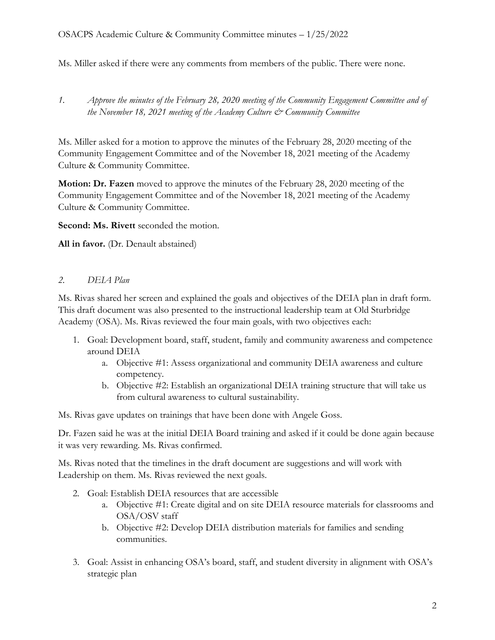Ms. Miller asked if there were any comments from members of the public. There were none.

*1. Approve the minutes of the February 28, 2020 meeting of the Community Engagement Committee and of the November 18, 2021 meeting of the Academy Culture & Community Committee*

Ms. Miller asked for a motion to approve the minutes of the February 28, 2020 meeting of the Community Engagement Committee and of the November 18, 2021 meeting of the Academy Culture & Community Committee.

**Motion: Dr. Fazen** moved to approve the minutes of the February 28, 2020 meeting of the Community Engagement Committee and of the November 18, 2021 meeting of the Academy Culture & Community Committee.

**Second: Ms. Rivett** seconded the motion.

**All in favor.** (Dr. Denault abstained)

### *2. DEIA Plan*

Ms. Rivas shared her screen and explained the goals and objectives of the DEIA plan in draft form. This draft document was also presented to the instructional leadership team at Old Sturbridge Academy (OSA). Ms. Rivas reviewed the four main goals, with two objectives each:

- 1. Goal: Development board, staff, student, family and community awareness and competence around DEIA
	- a. Objective #1: Assess organizational and community DEIA awareness and culture competency.
	- b. Objective #2: Establish an organizational DEIA training structure that will take us from cultural awareness to cultural sustainability.

Ms. Rivas gave updates on trainings that have been done with Angele Goss.

Dr. Fazen said he was at the initial DEIA Board training and asked if it could be done again because it was very rewarding. Ms. Rivas confirmed.

Ms. Rivas noted that the timelines in the draft document are suggestions and will work with Leadership on them. Ms. Rivas reviewed the next goals.

- 2. Goal: Establish DEIA resources that are accessible
	- a. Objective #1: Create digital and on site DEIA resource materials for classrooms and OSA/OSV staff
	- b. Objective #2: Develop DEIA distribution materials for families and sending communities.
- 3. Goal: Assist in enhancing OSA's board, staff, and student diversity in alignment with OSA's strategic plan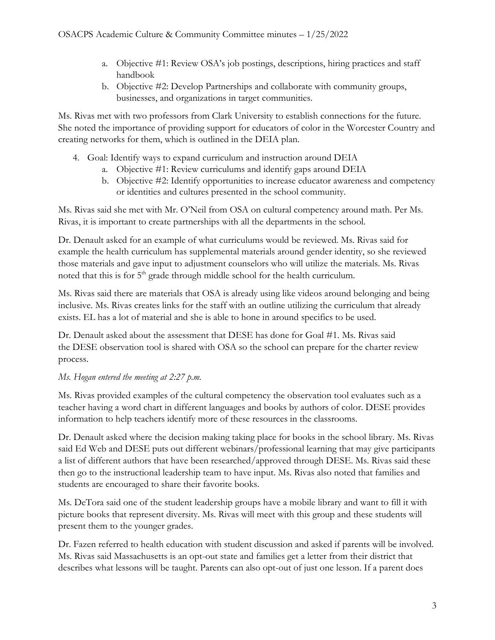- a. Objective #1: Review OSA's job postings, descriptions, hiring practices and staff handbook
- b. Objective #2: Develop Partnerships and collaborate with community groups, businesses, and organizations in target communities.

Ms. Rivas met with two professors from Clark University to establish connections for the future. She noted the importance of providing support for educators of color in the Worcester Country and creating networks for them, which is outlined in the DEIA plan.

- 4. Goal: Identify ways to expand curriculum and instruction around DEIA
	- a. Objective #1: Review curriculums and identify gaps around DEIA
	- b. Objective #2: Identify opportunities to increase educator awareness and competency or identities and cultures presented in the school community.

Ms. Rivas said she met with Mr. O'Neil from OSA on cultural competency around math. Per Ms. Rivas, it is important to create partnerships with all the departments in the school.

Dr. Denault asked for an example of what curriculums would be reviewed. Ms. Rivas said for example the health curriculum has supplemental materials around gender identity, so she reviewed those materials and gave input to adjustment counselors who will utilize the materials. Ms. Rivas noted that this is for  $5<sup>th</sup>$  grade through middle school for the health curriculum.

Ms. Rivas said there are materials that OSA is already using like videos around belonging and being inclusive. Ms. Rivas creates links for the staff with an outline utilizing the curriculum that already exists. EL has a lot of material and she is able to hone in around specifics to be used.

Dr. Denault asked about the assessment that DESE has done for Goal #1. Ms. Rivas said the DESE observation tool is shared with OSA so the school can prepare for the charter review process.

# *Ms. Hogan entered the meeting at 2:27 p.m.*

Ms. Rivas provided examples of the cultural competency the observation tool evaluates such as a teacher having a word chart in different languages and books by authors of color. DESE provides information to help teachers identify more of these resources in the classrooms.

Dr. Denault asked where the decision making taking place for books in the school library. Ms. Rivas said Ed Web and DESE puts out different webinars/professional learning that may give participants a list of different authors that have been researched/approved through DESE. Ms. Rivas said these then go to the instructional leadership team to have input. Ms. Rivas also noted that families and students are encouraged to share their favorite books.

Ms. DeTora said one of the student leadership groups have a mobile library and want to fill it with picture books that represent diversity. Ms. Rivas will meet with this group and these students will present them to the younger grades.

Dr. Fazen referred to health education with student discussion and asked if parents will be involved. Ms. Rivas said Massachusetts is an opt-out state and families get a letter from their district that describes what lessons will be taught. Parents can also opt-out of just one lesson. If a parent does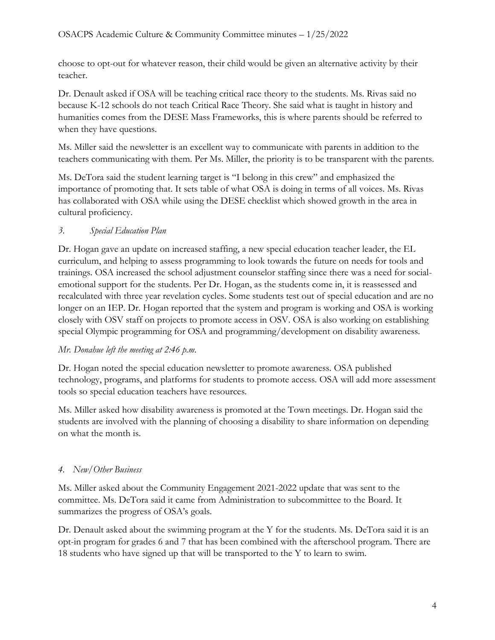choose to opt-out for whatever reason, their child would be given an alternative activity by their teacher.

Dr. Denault asked if OSA will be teaching critical race theory to the students. Ms. Rivas said no because K-12 schools do not teach Critical Race Theory. She said what is taught in history and humanities comes from the DESE Mass Frameworks, this is where parents should be referred to when they have questions.

Ms. Miller said the newsletter is an excellent way to communicate with parents in addition to the teachers communicating with them. Per Ms. Miller, the priority is to be transparent with the parents.

Ms. DeTora said the student learning target is "I belong in this crew" and emphasized the importance of promoting that. It sets table of what OSA is doing in terms of all voices. Ms. Rivas has collaborated with OSA while using the DESE checklist which showed growth in the area in cultural proficiency.

## *3. Special Education Plan*

Dr. Hogan gave an update on increased staffing, a new special education teacher leader, the EL curriculum, and helping to assess programming to look towards the future on needs for tools and trainings. OSA increased the school adjustment counselor staffing since there was a need for socialemotional support for the students. Per Dr. Hogan, as the students come in, it is reassessed and recalculated with three year revelation cycles. Some students test out of special education and are no longer on an IEP. Dr. Hogan reported that the system and program is working and OSA is working closely with OSV staff on projects to promote access in OSV. OSA is also working on establishing special Olympic programming for OSA and programming/development on disability awareness.

## *Mr. Donahue left the meeting at 2:46 p.m.*

Dr. Hogan noted the special education newsletter to promote awareness. OSA published technology, programs, and platforms for students to promote access. OSA will add more assessment tools so special education teachers have resources.

Ms. Miller asked how disability awareness is promoted at the Town meetings. Dr. Hogan said the students are involved with the planning of choosing a disability to share information on depending on what the month is.

# *4. New/Other Business*

Ms. Miller asked about the Community Engagement 2021-2022 update that was sent to the committee. Ms. DeTora said it came from Administration to subcommittee to the Board. It summarizes the progress of OSA's goals.

Dr. Denault asked about the swimming program at the Y for the students. Ms. DeTora said it is an opt-in program for grades 6 and 7 that has been combined with the afterschool program. There are 18 students who have signed up that will be transported to the Y to learn to swim.